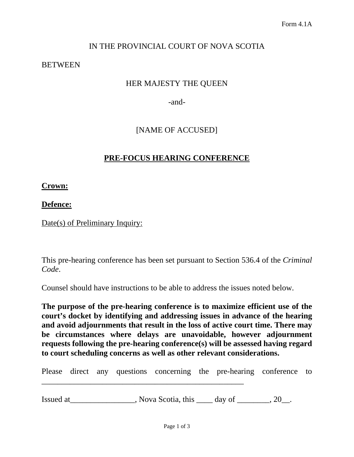# IN THE PROVINCIAL COURT OF NOVA SCOTIA

#### **BETWEEN**

## HER MAJESTY THE QUEEN

-and-

## [NAME OF ACCUSED]

### **PRE-FOCUS HEARING CONFERENCE**

**Crown:**

**Defence:**

Date(s) of Preliminary Inquiry:

This pre-hearing conference has been set pursuant to Section 536.4 of the *Criminal Code*.

Counsel should have instructions to be able to address the issues noted below.

**The purpose of the pre-hearing conference is to maximize efficient use of the court's docket by identifying and addressing issues in advance of the hearing and avoid adjournments that result in the loss of active court time. There may be circumstances where delays are unavoidable, however adjournment requests following the pre-hearing conference(s) will be assessed having regard to court scheduling concerns as well as other relevant considerations.**

Please direct any questions concerning the pre-hearing conference to

Issued at  $\qquad \qquad \qquad$ , Nova Scotia, this  $\qquad \qquad$  day of  $\qquad \qquad$ , 20\_.

\_\_\_\_\_\_\_\_\_\_\_\_\_\_\_\_\_\_\_\_\_\_\_\_\_\_\_\_\_\_\_\_\_\_\_\_\_\_\_\_\_\_\_\_\_\_\_\_\_\_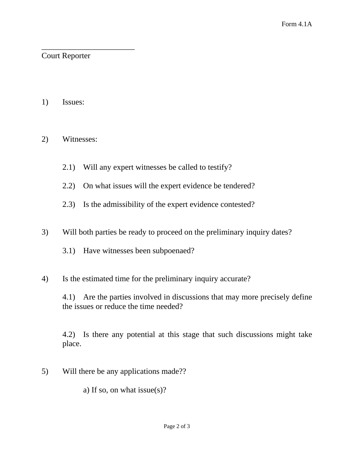### \_\_\_\_\_\_\_\_\_\_\_\_\_\_\_\_\_\_\_\_\_\_\_ Court Reporter

1) Issues:

## 2) Witnesses:

- 2.1) Will any expert witnesses be called to testify?
- 2.2) On what issues will the expert evidence be tendered?
- 2.3) Is the admissibility of the expert evidence contested?
- 3) Will both parties be ready to proceed on the preliminary inquiry dates?
	- 3.1) Have witnesses been subpoenaed?
- 4) Is the estimated time for the preliminary inquiry accurate?

4.1) Are the parties involved in discussions that may more precisely define the issues or reduce the time needed?

4.2) Is there any potential at this stage that such discussions might take place.

5) Will there be any applications made??

a) If so, on what issue(s)?